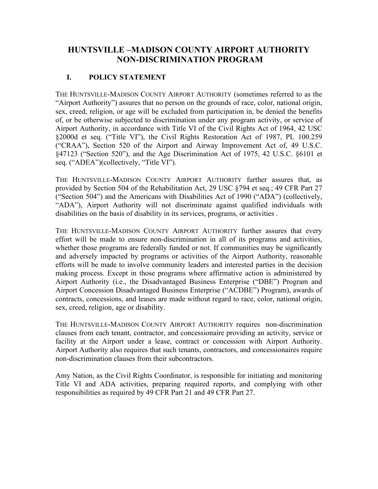# **HUNTSVILLE –MADISON COUNTY AIRPORT AUTHORITY NON-DISCRIMINATION PROGRAM**

### **I. POLICY STATEMENT**

THE HUNTSVILLE-MADISON COUNTY AIRPORT AUTHORITY (sometimes referred to as the "Airport Authority") assures that no person on the grounds of race, color, national origin, sex, creed, religion, or age will be excluded from participation in, be denied the benefits of, or be otherwise subjected to discrimination under any program activity, or service of Airport Authority, in accordance with Title VI of the Civil Rights Act of 1964, 42 USC §2000d et seq. ("Title VI"), the Civil Rights Restoration Act of 1987, PL 100.259 ("CRAA"), Section 520 of the Airport and Airway Improvement Act of, 49 U.S.C. §47123 ("Section 520"), and the Age Discrimination Act of 1975, 42 U.S.C. §6101 et seq. ("ADEA")(collectively, "Title VI").

THE HUNTSVILLE-MADISON COUNTY AIRPORT AUTHORITY further assures that, as provided by Section 504 of the Rehabilitation Act, 29 USC §794 et seq.; 49 CFR Part 27 ("Section 504") and the Americans with Disabilities Act of 1990 ("ADA") (collectively, "ADA"), Airport Authority will not discriminate against qualified individuals with disabilities on the basis of disability in its services, programs, or activities .

THE HUNTSVILLE-MADISON COUNTY AIRPORT AUTHORITY further assures that every effort will be made to ensure non-discrimination in all of its programs and activities, whether those programs are federally funded or not. If communities may be significantly and adversely impacted by programs or activities of the Airport Authority, reasonable efforts will be made to involve community leaders and interested parties in the decision making process. Except in those programs where affirmative action is administered by Airport Authority (i.e., the Disadvantaged Business Enterprise ("DBE") Program and Airport Concession Disadvantaged Business Enterprise ("ACDBE") Program), awards of contracts, concessions, and leases are made without regard to race, color, national origin, sex, creed, religion, age or disability.

THE HUNTSVILLE-MADISON COUNTY AIRPORT AUTHORITY requires non-discrimination clauses from each tenant, contractor, and concessionaire providing an activity, service or facility at the Airport under a lease, contract or concession with Airport Authority. Airport Authority also requires that such tenants, contractors, and concessionaires require non-discrimination clauses from their subcontractors.

Amy Nation, as the Civil Rights Coordinator, is responsible for initiating and monitoring Title VI and ADA activities, preparing required reports, and complying with other responsibilities as required by 49 CFR Part 21 and 49 CFR Part 27.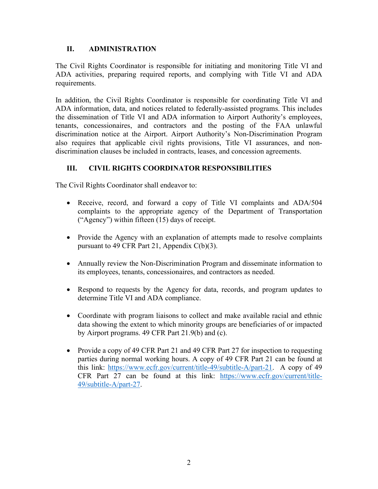### **II. ADMINISTRATION**

The Civil Rights Coordinator is responsible for initiating and monitoring Title VI and ADA activities, preparing required reports, and complying with Title VI and ADA requirements.

In addition, the Civil Rights Coordinator is responsible for coordinating Title VI and ADA information, data, and notices related to federally-assisted programs. This includes the dissemination of Title VI and ADA information to Airport Authority's employees, tenants, concessionaires, and contractors and the posting of the FAA unlawful discrimination notice at the Airport. Airport Authority's Non-Discrimination Program also requires that applicable civil rights provisions, Title VI assurances, and nondiscrimination clauses be included in contracts, leases, and concession agreements.

## **III. CIVIL RIGHTS COORDINATOR RESPONSIBILITIES**

The Civil Rights Coordinator shall endeavor to:

- Receive, record, and forward a copy of Title VI complaints and ADA/504 complaints to the appropriate agency of the Department of Transportation ("Agency") within fifteen (15) days of receipt.
- Provide the Agency with an explanation of attempts made to resolve complaints pursuant to 49 CFR Part 21, Appendix C(b)(3).
- Annually review the Non-Discrimination Program and disseminate information to its employees, tenants, concessionaires, and contractors as needed.
- Respond to requests by the Agency for data, records, and program updates to determine Title VI and ADA compliance.
- Coordinate with program liaisons to collect and make available racial and ethnic data showing the extent to which minority groups are beneficiaries of or impacted by Airport programs. 49 CFR Part 21.9(b) and (c).
- Provide a copy of 49 CFR Part 21 and 49 CFR Part 27 for inspection to requesting parties during normal working hours. A copy of 49 CFR Part 21 can be found at this link: [https://www.ecfr.gov/current/title-49/subtitle-A/part-21.](https://www.ecfr.gov/current/title-49/subtitle-A/part-21) A copy of 49 CFR Part 27 can be found at this link: [https://www.ecfr.gov/current/title-](https://www.ecfr.gov/current/title-49/subtitle-A/part-27)[49/subtitle-A/part-27.](https://www.ecfr.gov/current/title-49/subtitle-A/part-27)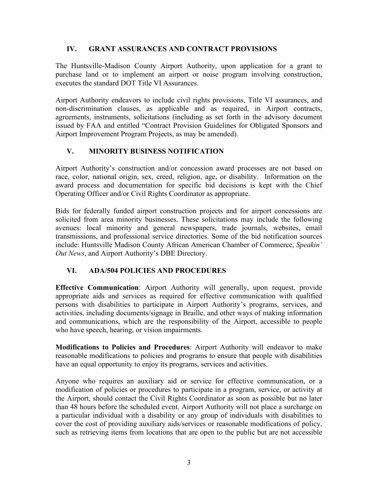#### **IV. GRANT ASSURANCES AND CONTRACT PROVISIONS**

The Huntsville-Madison County Airport Authority, upon application for a grant to purchase land or to implement an airport or noise program involving construction, executes the standard DOT Title VI Assurances.

Airport Authority endeavors to include civil rights provisions, Title VI assurances, and non-discrimination clauses, as applicable and as required, in Airport contracts, agreements, instruments, solicitations (including as set forth in the advisory document issued by FAA and entitled "Contract Provision Guidelines for Obligated Sponsors and Airport Improvement Program Projects, as may be amended).

### **V. MINORITY BUSINESS NOTIFICATION**

Airport Authority's construction and/or concession award processes are not based on race, color, national origin, sex, creed, religion, age, or disability. Information on the award process and documentation for specific bid decisions is kept with the Chief Operating Officer and/or Civil Rights Coordinator as appropriate.

Bids for federally funded airport construction projects and for airport concessions are solicited from area minority businesses. These solicitations may include the following avenues: local minority and general newspapers, trade journals, websites, email transmissions, and professional service directories. Some of the bid notification sources include: Huntsville Madison County African American Chamber of Commerce, *Speakin' Out News*, and Airport Authority's DBE Directory.

#### **VI. ADA/504 POLICIES AND PROCEDURES**

**Effective Communication**: Airport Authority will generally, upon request, provide appropriate aids and services as required for effective communication with qualified persons with disabilities to participate in Airport Authority's programs, services, and activities, including documents/signage in Braille, and other ways of making information and communications, which are the responsibility of the Airport, accessible to people who have speech, hearing, or vision impairments.

**Modifications to Policies and Procedures**: Airport Authority will endeavor to make reasonable modifications to policies and programs to ensure that people with disabilities have an equal opportunity to enjoy its programs, services and activities.

Anyone who requires an auxiliary aid or service for effective communication, or a modification of policies or procedures to participate in a program, service, or activity at the Airport, should contact the Civil Rights Coordinator as soon as possible but no later than 48 hours before the scheduled event. Airport Authority will not place a surcharge on a particular individual with a disability or any group of individuals with disabilities to cover the cost of providing auxiliary aids/services or reasonable modifications of policy, such as retrieving items from locations that are open to the public but are not accessible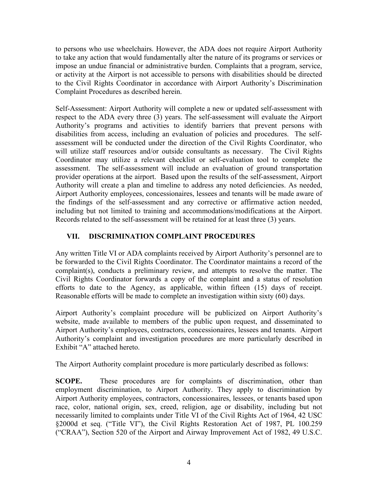to persons who use wheelchairs. However, the ADA does not require Airport Authority to take any action that would fundamentally alter the nature of its programs or services or impose an undue financial or administrative burden. Complaints that a program, service, or activity at the Airport is not accessible to persons with disabilities should be directed to the Civil Rights Coordinator in accordance with Airport Authority's Discrimination Complaint Procedures as described herein.

Self-Assessment: Airport Authority will complete a new or updated self-assessment with respect to the ADA every three (3) years. The self-assessment will evaluate the Airport Authority's programs and activities to identify barriers that prevent persons with disabilities from access, including an evaluation of policies and procedures. The selfassessment will be conducted under the direction of the Civil Rights Coordinator, who will utilize staff resources and/or outside consultants as necessary. The Civil Rights Coordinator may utilize a relevant checklist or self-evaluation tool to complete the assessment. The self-assessment will include an evaluation of ground transportation provider operations at the airport. Based upon the results of the self-assessment, Airport Authority will create a plan and timeline to address any noted deficiencies. As needed, Airport Authority employees, concessionaires, lessees and tenants will be made aware of the findings of the self-assessment and any corrective or affirmative action needed, including but not limited to training and accommodations/modifications at the Airport. Records related to the self-assessment will be retained for at least three (3) years.

### **VII. DISCRIMINATION COMPLAINT PROCEDURES**

Any written Title VI or ADA complaints received by Airport Authority's personnel are to be forwarded to the Civil Rights Coordinator. The Coordinator maintains a record of the complaint(s), conducts a preliminary review, and attempts to resolve the matter. The Civil Rights Coordinator forwards a copy of the complaint and a status of resolution efforts to date to the Agency, as applicable, within fifteen (15) days of receipt. Reasonable efforts will be made to complete an investigation within sixty (60) days.

Airport Authority's complaint procedure will be publicized on Airport Authority's website, made available to members of the public upon request, and disseminated to Airport Authority's employees, contractors, concessionaires, lessees and tenants. Airport Authority's complaint and investigation procedures are more particularly described in Exhibit "A" attached hereto.

The Airport Authority complaint procedure is more particularly described as follows:

**SCOPE.** These procedures are for complaints of discrimination, other than employment discrimination, to Airport Authority. They apply to discrimination by Airport Authority employees, contractors, concessionaires, lessees, or tenants based upon race, color, national origin, sex, creed, religion, age or disability, including but not necessarily limited to complaints under Title VI of the Civil Rights Act of 1964, 42 USC §2000d et seq. ("Title VI"), the Civil Rights Restoration Act of 1987, PL 100.259 ("CRAA"), Section 520 of the Airport and Airway Improvement Act of 1982, 49 U.S.C.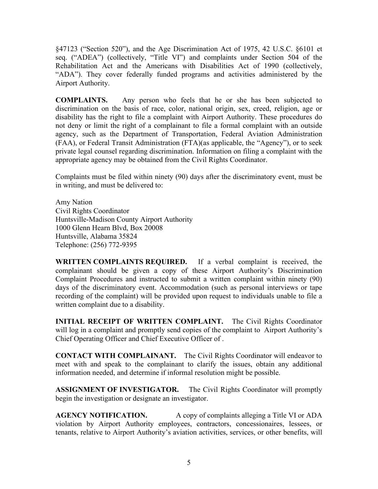§47123 ("Section 520"), and the Age Discrimination Act of 1975, 42 U.S.C. §6101 et seq. ("ADEA") (collectively, "Title VI") and complaints under Section 504 of the Rehabilitation Act and the Americans with Disabilities Act of 1990 (collectively, "ADA"). They cover federally funded programs and activities administered by the Airport Authority.

**COMPLAINTS.** Any person who feels that he or she has been subjected to discrimination on the basis of race, color, national origin, sex, creed, religion, age or disability has the right to file a complaint with Airport Authority. These procedures do not deny or limit the right of a complainant to file a formal complaint with an outside agency, such as the Department of Transportation, Federal Aviation Administration (FAA), or Federal Transit Administration (FTA)(as applicable, the "Agency"), or to seek private legal counsel regarding discrimination. Information on filing a complaint with the appropriate agency may be obtained from the Civil Rights Coordinator.

Complaints must be filed within ninety (90) days after the discriminatory event, must be in writing, and must be delivered to:

Amy Nation Civil Rights Coordinator Huntsville-Madison County Airport Authority 1000 Glenn Hearn Blvd, Box 20008 Huntsville, Alabama 35824 Telephone: (256) 772-9395

**WRITTEN COMPLAINTS REQUIRED.** If a verbal complaint is received, the complainant should be given a copy of these Airport Authority's Discrimination Complaint Procedures and instructed to submit a written complaint within ninety (90) days of the discriminatory event. Accommodation (such as personal interviews or tape recording of the complaint) will be provided upon request to individuals unable to file a written complaint due to a disability.

**INITIAL RECEIPT OF WRITTEN COMPLAINT.** The Civil Rights Coordinator will log in a complaint and promptly send copies of the complaint to Airport Authority's Chief Operating Officer and Chief Executive Officer of .

**CONTACT WITH COMPLAINANT.** The Civil Rights Coordinator will endeavor to meet with and speak to the complainant to clarify the issues, obtain any additional information needed, and determine if informal resolution might be possible.

**ASSIGNMENT OF INVESTIGATOR.** The Civil Rights Coordinator will promptly begin the investigation or designate an investigator.

**AGENCY NOTIFICATION.** A copy of complaints alleging a Title VI or ADA violation by Airport Authority employees, contractors, concessionaires, lessees, or tenants, relative to Airport Authority's aviation activities, services, or other benefits, will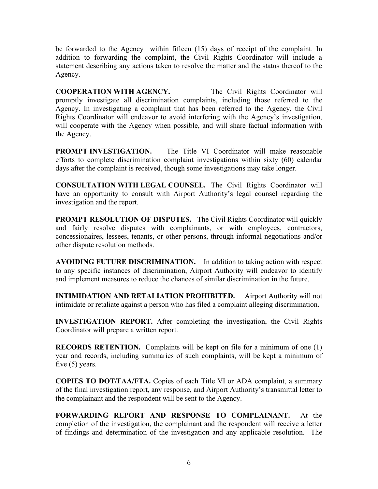be forwarded to the Agency within fifteen (15) days of receipt of the complaint. In addition to forwarding the complaint, the Civil Rights Coordinator will include a statement describing any actions taken to resolve the matter and the status thereof to the Agency.

**COOPERATION WITH AGENCY.** The Civil Rights Coordinator will promptly investigate all discrimination complaints, including those referred to the Agency. In investigating a complaint that has been referred to the Agency, the Civil Rights Coordinator will endeavor to avoid interfering with the Agency's investigation, will cooperate with the Agency when possible, and will share factual information with the Agency.

**PROMPT INVESTIGATION.** The Title VI Coordinator will make reasonable efforts to complete discrimination complaint investigations within sixty (60) calendar days after the complaint is received, though some investigations may take longer.

**CONSULTATION WITH LEGAL COUNSEL.** The Civil Rights Coordinator will have an opportunity to consult with Airport Authority's legal counsel regarding the investigation and the report.

**PROMPT RESOLUTION OF DISPUTES.** The Civil Rights Coordinator will quickly and fairly resolve disputes with complainants, or with employees, contractors, concessionaires, lessees, tenants, or other persons, through informal negotiations and/or other dispute resolution methods.

**AVOIDING FUTURE DISCRIMINATION.** In addition to taking action with respect to any specific instances of discrimination, Airport Authority will endeavor to identify and implement measures to reduce the chances of similar discrimination in the future.

**INTIMIDATION AND RETALIATION PROHIBITED.** Airport Authority will not intimidate or retaliate against a person who has filed a complaint alleging discrimination.

**INVESTIGATION REPORT.** After completing the investigation, the Civil Rights Coordinator will prepare a written report.

**RECORDS RETENTION.** Complaints will be kept on file for a minimum of one (1) year and records, including summaries of such complaints, will be kept a minimum of five (5) years.

**COPIES TO DOT/FAA/FTA.** Copies of each Title VI or ADA complaint, a summary of the final investigation report, any response, and Airport Authority's transmittal letter to the complainant and the respondent will be sent to the Agency.

**FORWARDING REPORT AND RESPONSE TO COMPLAINANT.** At the completion of the investigation, the complainant and the respondent will receive a letter of findings and determination of the investigation and any applicable resolution. The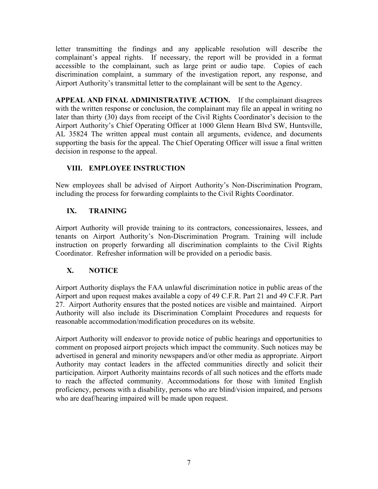letter transmitting the findings and any applicable resolution will describe the complainant's appeal rights. If necessary, the report will be provided in a format accessible to the complainant, such as large print or audio tape. Copies of each discrimination complaint, a summary of the investigation report, any response, and Airport Authority's transmittal letter to the complainant will be sent to the Agency.

**APPEAL AND FINAL ADMINISTRATIVE ACTION.** If the complainant disagrees with the written response or conclusion, the complainant may file an appeal in writing no later than thirty (30) days from receipt of the Civil Rights Coordinator's decision to the Airport Authority's Chief Operating Officer at 1000 Glenn Hearn Blvd SW, Huntsville, AL 35824 The written appeal must contain all arguments, evidence, and documents supporting the basis for the appeal. The Chief Operating Officer will issue a final written decision in response to the appeal.

## **VIII. EMPLOYEE INSTRUCTION**

New employees shall be advised of Airport Authority's Non-Discrimination Program, including the process for forwarding complaints to the Civil Rights Coordinator.

## **IX. TRAINING**

Airport Authority will provide training to its contractors, concessionaires, lessees, and tenants on Airport Authority's Non-Discrimination Program. Training will include instruction on properly forwarding all discrimination complaints to the Civil Rights Coordinator. Refresher information will be provided on a periodic basis.

## **X. NOTICE**

Airport Authority displays the FAA unlawful discrimination notice in public areas of the Airport and upon request makes available a copy of 49 C.F.R. Part 21 and 49 C.F.R. Part 27. Airport Authority ensures that the posted notices are visible and maintained. Airport Authority will also include its Discrimination Complaint Procedures and requests for reasonable accommodation/modification procedures on its website.

Airport Authority will endeavor to provide notice of public hearings and opportunities to comment on proposed airport projects which impact the community. Such notices may be advertised in general and minority newspapers and/or other media as appropriate. Airport Authority may contact leaders in the affected communities directly and solicit their participation. Airport Authority maintains records of all such notices and the efforts made to reach the affected community. Accommodations for those with limited English proficiency, persons with a disability, persons who are blind/vision impaired, and persons who are deaf/hearing impaired will be made upon request.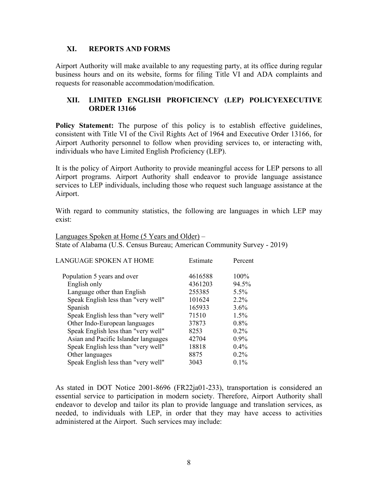#### **XI. REPORTS AND FORMS**

Airport Authority will make available to any requesting party, at its office during regular business hours and on its website, forms for filing Title VI and ADA complaints and requests for reasonable accommodation/modification.

#### **XII. LIMITED ENGLISH PROFICIENCY (LEP) POLICYEXECUTIVE ORDER 13166**

**Policy Statement:** The purpose of this policy is to establish effective guidelines, consistent with Title VI of the Civil Rights Act of 1964 and Executive Order 13166, for Airport Authority personnel to follow when providing services to, or interacting with, individuals who have Limited English Proficiency (LEP).

It is the policy of Airport Authority to provide meaningful access for LEP persons to all Airport programs. Airport Authority shall endeavor to provide language assistance services to LEP individuals, including those who request such language assistance at the Airport.

With regard to community statistics, the following are languages in which LEP may exist:

Languages Spoken at Home (5 Years and Older) – State of Alabama (U.S. Census Bureau; American Community Survey - 2019)

| LANGUAGE SPOKEN AT HOME              | Estimate | Percent |
|--------------------------------------|----------|---------|
| Population 5 years and over          | 4616588  | 100%    |
| English only                         | 4361203  | 94.5%   |
| Language other than English          | 255385   | 5.5%    |
| Speak English less than "very well"  | 101624   | $2.2\%$ |
| Spanish                              | 165933   | 3.6%    |
| Speak English less than "very well"  | 71510    | $1.5\%$ |
| Other Indo-European languages        | 37873    | $0.8\%$ |
| Speak English less than "very well"  | 8253     | $0.2\%$ |
| Asian and Pacific Islander languages | 42704    | $0.9\%$ |
| Speak English less than "very well"  | 18818    | $0.4\%$ |
| Other languages                      | 8875     | $0.2\%$ |
| Speak English less than "very well"  | 3043     | $0.1\%$ |

As stated in DOT Notice 2001-8696 (FR22ja01-233), transportation is considered an essential service to participation in modern society. Therefore, Airport Authority shall endeavor to develop and tailor its plan to provide language and translation services, as needed, to individuals with LEP, in order that they may have access to activities administered at the Airport. Such services may include: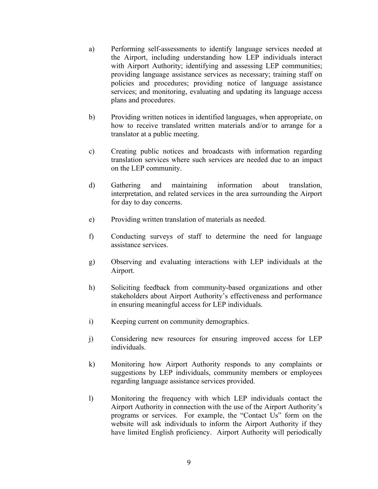- a) Performing self-assessments to identify language services needed at the Airport, including understanding how LEP individuals interact with Airport Authority; identifying and assessing LEP communities; providing language assistance services as necessary; training staff on policies and procedures; providing notice of language assistance services; and monitoring, evaluating and updating its language access plans and procedures.
- b) Providing written notices in identified languages, when appropriate, on how to receive translated written materials and/or to arrange for a translator at a public meeting.
- c) Creating public notices and broadcasts with information regarding translation services where such services are needed due to an impact on the LEP community.
- d) Gathering and maintaining information about translation, interpretation, and related services in the area surrounding the Airport for day to day concerns.
- e) Providing written translation of materials as needed.
- f) Conducting surveys of staff to determine the need for language assistance services.
- g) Observing and evaluating interactions with LEP individuals at the Airport.
- h) Soliciting feedback from community-based organizations and other stakeholders about Airport Authority's effectiveness and performance in ensuring meaningful access for LEP individuals.
- i) Keeping current on community demographics.
- j) Considering new resources for ensuring improved access for LEP individuals.
- k) Monitoring how Airport Authority responds to any complaints or suggestions by LEP individuals, community members or employees regarding language assistance services provided.
- l) Monitoring the frequency with which LEP individuals contact the Airport Authority in connection with the use of the Airport Authority's programs or services. For example, the "Contact Us" form on the website will ask individuals to inform the Airport Authority if they have limited English proficiency. Airport Authority will periodically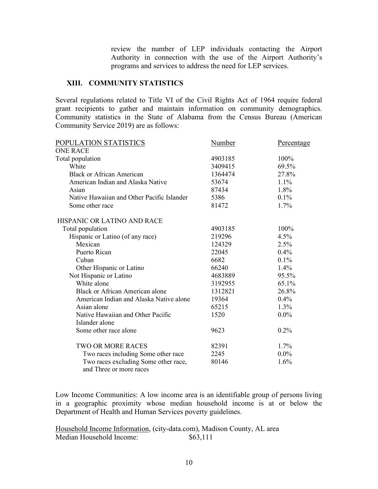review the number of LEP individuals contacting the Airport Authority in connection with the use of the Airport Authority's programs and services to address the need for LEP services.

#### **XIII. COMMUNITY STATISTICS**

Several regulations related to Title VI of the Civil Rights Act of 1964 require federal grant recipients to gather and maintain information on community demographics. Community statistics in the State of Alabama from the Census Bureau (American Community Service 2019) are as follows:

| POPULATION STATISTICS                                           | Number  | Percentage |
|-----------------------------------------------------------------|---------|------------|
| <b>ONE RACE</b>                                                 |         |            |
| Total population                                                | 4903185 | 100%       |
| White                                                           | 3409415 | 69.5%      |
| <b>Black or African American</b>                                | 1364474 | 27.8%      |
| American Indian and Alaska Native                               | 53674   | $1.1\%$    |
| Asian                                                           | 87434   | 1.8%       |
| Native Hawaiian and Other Pacific Islander                      | 5386    | $0.1\%$    |
| Some other race                                                 | 81472   | 1.7%       |
| HISPANIC OR LATINO AND RACE                                     |         |            |
| Total population                                                | 4903185 | 100%       |
| Hispanic or Latino (of any race)                                | 219296  | 4.5%       |
| Mexican                                                         | 124329  | 2.5%       |
| Puerto Rican                                                    | 22045   | 0.4%       |
| Cuban                                                           | 6682    | $0.1\%$    |
| Other Hispanic or Latino                                        | 66240   | $1.4\%$    |
| Not Hispanic or Latino                                          | 4683889 | 95.5%      |
| White alone                                                     | 3192955 | 65.1%      |
| <b>Black or African American alone</b>                          | 1312821 | 26.8%      |
| American Indian and Alaska Native alone                         | 19364   | 0.4%       |
| Asian alone                                                     | 65215   | 1.3%       |
| Native Hawaiian and Other Pacific                               | 1520    | $0.0\%$    |
| Islander alone                                                  |         |            |
| Some other race alone                                           | 9623    | 0.2%       |
| <b>TWO OR MORE RACES</b>                                        | 82391   | $1.7\%$    |
| Two races including Some other race                             | 2245    | $0.0\%$    |
| Two races excluding Some other race,<br>and Three or more races | 80146   | 1.6%       |

Low Income Communities: A low income area is an identifiable group of persons living in a geographic proximity whose median household income is at or below the Department of Health and Human Services poverty guidelines.

Household Income Information, (city-data.com), Madison County, AL area Median Household Income: \$63,111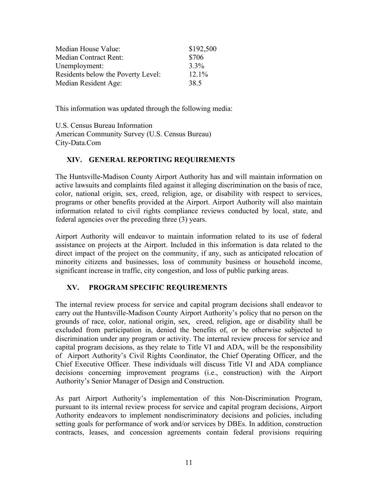| Median House Value:                | \$192,500 |
|------------------------------------|-----------|
| <b>Median Contract Rent:</b>       | \$706     |
| Unemployment:                      | $3.3\%$   |
| Residents below the Poverty Level: | $12.1\%$  |
| Median Resident Age:               | 38.5      |

This information was updated through the following media:

U.S. Census Bureau Information American Community Survey (U.S. Census Bureau) City-Data.Com

#### **XIV. GENERAL REPORTING REQUIREMENTS**

The Huntsville-Madison County Airport Authority has and will maintain information on active lawsuits and complaints filed against it alleging discrimination on the basis of race, color, national origin, sex, creed, religion, age, or disability with respect to services, programs or other benefits provided at the Airport. Airport Authority will also maintain information related to civil rights compliance reviews conducted by local, state, and federal agencies over the preceding three (3) years.

Airport Authority will endeavor to maintain information related to its use of federal assistance on projects at the Airport. Included in this information is data related to the direct impact of the project on the community, if any, such as anticipated relocation of minority citizens and businesses, loss of community business or household income, significant increase in traffic, city congestion, and loss of public parking areas.

## **XV. PROGRAM SPECIFIC REQUIREMENTS**

The internal review process for service and capital program decisions shall endeavor to carry out the Huntsville-Madison County Airport Authority's policy that no person on the grounds of race, color, national origin, sex, creed, religion, age or disability shall be excluded from participation in, denied the benefits of, or be otherwise subjected to discrimination under any program or activity. The internal review process for service and capital program decisions, as they relate to Title VI and ADA, will be the responsibility of Airport Authority's Civil Rights Coordinator, the Chief Operating Officer, and the Chief Executive Officer. These individuals will discuss Title VI and ADA compliance decisions concerning improvement programs (i.e., construction) with the Airport Authority's Senior Manager of Design and Construction.

As part Airport Authority's implementation of this Non-Discrimination Program, pursuant to its internal review process for service and capital program decisions, Airport Authority endeavors to implement nondiscriminatory decisions and policies, including setting goals for performance of work and/or services by DBEs. In addition, construction contracts, leases, and concession agreements contain federal provisions requiring